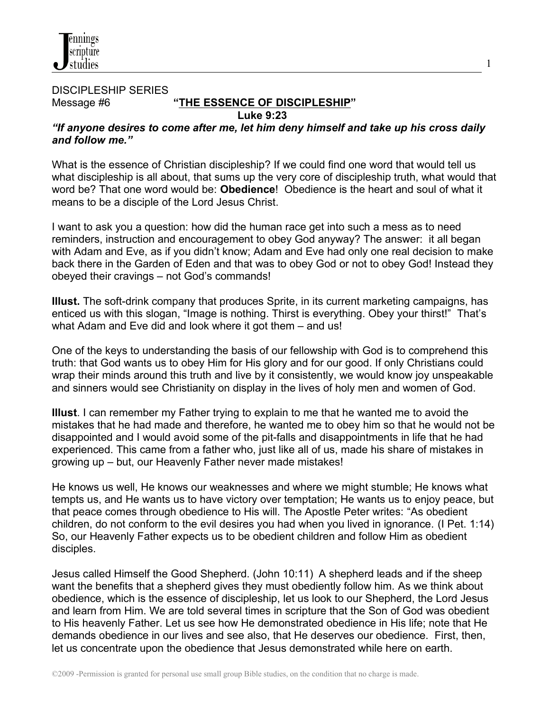#### DISCIPLESHIP SERIES Message #6 **"THE ESSENCE OF DISCIPLESHIP" Luke 9:23**

*"If anyone desires to come after me, let him deny himself and take up his cross daily and follow me."*

1

What is the essence of Christian discipleship? If we could find one word that would tell us what discipleship is all about, that sums up the very core of discipleship truth, what would that word be? That one word would be: **Obedience**! Obedience is the heart and soul of what it means to be a disciple of the Lord Jesus Christ.

I want to ask you a question: how did the human race get into such a mess as to need reminders, instruction and encouragement to obey God anyway? The answer: it all began with Adam and Eve, as if you didn't know; Adam and Eve had only one real decision to make back there in the Garden of Eden and that was to obey God or not to obey God! Instead they obeyed their cravings – not God's commands!

**Illust.** The soft-drink company that produces Sprite, in its current marketing campaigns, has enticed us with this slogan, "Image is nothing. Thirst is everything. Obey your thirst!" That's what Adam and Eve did and look where it got them – and us!

One of the keys to understanding the basis of our fellowship with God is to comprehend this truth: that God wants us to obey Him for His glory and for our good. If only Christians could wrap their minds around this truth and live by it consistently, we would know joy unspeakable and sinners would see Christianity on display in the lives of holy men and women of God.

**Illust**. I can remember my Father trying to explain to me that he wanted me to avoid the mistakes that he had made and therefore, he wanted me to obey him so that he would not be disappointed and I would avoid some of the pit-falls and disappointments in life that he had experienced. This came from a father who, just like all of us, made his share of mistakes in growing up – but, our Heavenly Father never made mistakes!

He knows us well, He knows our weaknesses and where we might stumble; He knows what tempts us, and He wants us to have victory over temptation; He wants us to enjoy peace, but that peace comes through obedience to His will. The Apostle Peter writes: "As obedient children, do not conform to the evil desires you had when you lived in ignorance. (I Pet. 1:14) So, our Heavenly Father expects us to be obedient children and follow Him as obedient disciples.

Jesus called Himself the Good Shepherd. (John 10:11) A shepherd leads and if the sheep want the benefits that a shepherd gives they must obediently follow him. As we think about obedience, which is the essence of discipleship, let us look to our Shepherd, the Lord Jesus and learn from Him. We are told several times in scripture that the Son of God was obedient to His heavenly Father. Let us see how He demonstrated obedience in His life; note that He demands obedience in our lives and see also, that He deserves our obedience. First, then, let us concentrate upon the obedience that Jesus demonstrated while here on earth.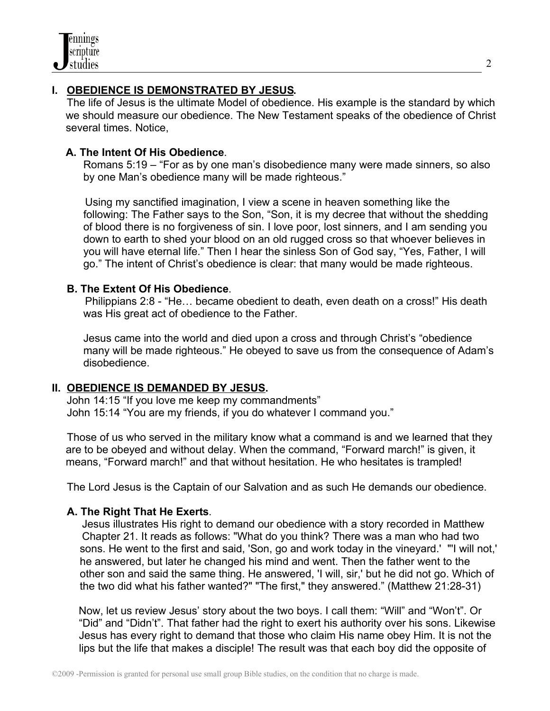# **I. OBEDIENCE IS DEMONSTRATED BY JESUS.**

The life of Jesus is the ultimate Model of obedience. His example is the standard by which we should measure our obedience. The New Testament speaks of the obedience of Christ several times. Notice,

### **A. The Intent Of His Obedience**.

Romans 5:19 – "For as by one man's disobedience many were made sinners, so also by one Man's obedience many will be made righteous."

 Using my sanctified imagination, I view a scene in heaven something like the following: The Father says to the Son, "Son, it is my decree that without the shedding of blood there is no forgiveness of sin. I love poor, lost sinners, and I am sending you down to earth to shed your blood on an old rugged cross so that whoever believes in you will have eternal life." Then I hear the sinless Son of God say, "Yes, Father, I will go." The intent of Christ's obedience is clear: that many would be made righteous.

#### **B. The Extent Of His Obedience**.

 Philippians 2:8 - "He… became obedient to death, even death on a cross!" His death was His great act of obedience to the Father.

Jesus came into the world and died upon a cross and through Christ's "obedience many will be made righteous." He obeyed to save us from the consequence of Adam's disobedience.

## **II. OBEDIENCE IS DEMANDED BY JESUS.**

 John 14:15 "If you love me keep my commandments" John 15:14 "You are my friends, if you do whatever I command you."

 Those of us who served in the military know what a command is and we learned that they are to be obeyed and without delay. When the command, "Forward march!" is given, it means, "Forward march!" and that without hesitation. He who hesitates is trampled!

The Lord Jesus is the Captain of our Salvation and as such He demands our obedience.

#### **A. The Right That He Exerts**.

 Jesus illustrates His right to demand our obedience with a story recorded in Matthew Chapter 21. It reads as follows: "What do you think? There was a man who had two sons. He went to the first and said, 'Son, go and work today in the vineyard.' "'I will not,' he answered, but later he changed his mind and went. Then the father went to the other son and said the same thing. He answered, 'I will, sir,' but he did not go. Which of the two did what his father wanted?" "The first," they answered." (Matthew 21:28-31)

Now, let us review Jesus' story about the two boys. I call them: "Will" and "Won't". Or "Did" and "Didn't". That father had the right to exert his authority over his sons. Likewise Jesus has every right to demand that those who claim His name obey Him. It is not the lips but the life that makes a disciple! The result was that each boy did the opposite of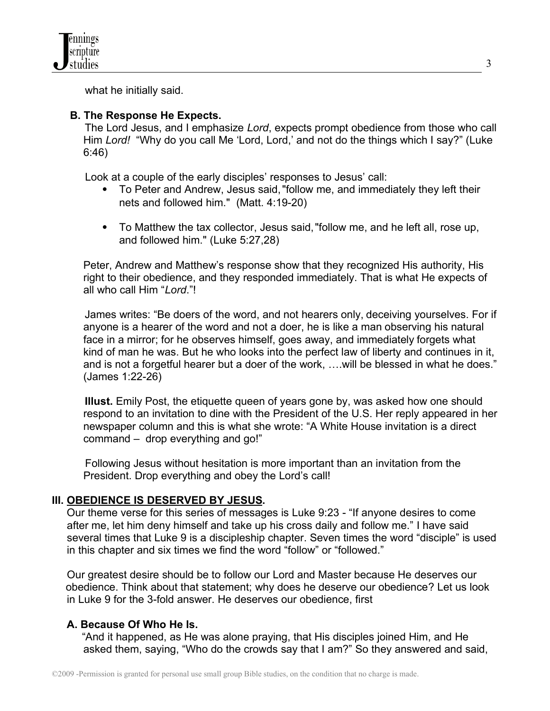what he initially said.

### **B. The Response He Expects.**

The Lord Jesus, and I emphasize *Lord*, expects prompt obedience from those who call Him *Lord!* "Why do you call Me 'Lord, Lord,' and not do the things which I say?" (Luke 6:46)

Look at a couple of the early disciples' responses to Jesus' call:

- To Peter and Andrew, Jesus said, "follow me, and immediately they left their nets and followed him." (Matt. 4:19-20)
- To Matthew the tax collector, Jesus said, "follow me, and he left all, rose up, and followed him." (Luke 5:27,28)

Peter, Andrew and Matthew's response show that they recognized His authority, His right to their obedience, and they responded immediately. That is what He expects of all who call Him "*Lord*."!

James writes: "Be doers of the word, and not hearers only, deceiving yourselves. For if anyone is a hearer of the word and not a doer, he is like a man observing his natural face in a mirror; for he observes himself, goes away, and immediately forgets what kind of man he was. But he who looks into the perfect law of liberty and continues in it, and is not a forgetful hearer but a doer of the work, ….will be blessed in what he does." (James 1:22-26)

 **Illust.** Emily Post, the etiquette queen of years gone by, was asked how one should respond to an invitation to dine with the President of the U.S. Her reply appeared in her newspaper column and this is what she wrote: "A White House invitation is a direct command – drop everything and go!"

 Following Jesus without hesitation is more important than an invitation from the President. Drop everything and obey the Lord's call!

## **III. OBEDIENCE IS DESERVED BY JESUS.**

Our theme verse for this series of messages is Luke 9:23 - "If anyone desires to come after me, let him deny himself and take up his cross daily and follow me." I have said several times that Luke 9 is a discipleship chapter. Seven times the word "disciple" is used in this chapter and six times we find the word "follow" or "followed."

 Our greatest desire should be to follow our Lord and Master because He deserves our obedience. Think about that statement; why does he deserve our obedience? Let us look in Luke 9 for the 3-fold answer. He deserves our obedience, first

## **A. Because Of Who He Is.**

 "And it happened, as He was alone praying, that His disciples joined Him, and He asked them, saying, "Who do the crowds say that I am?" So they answered and said,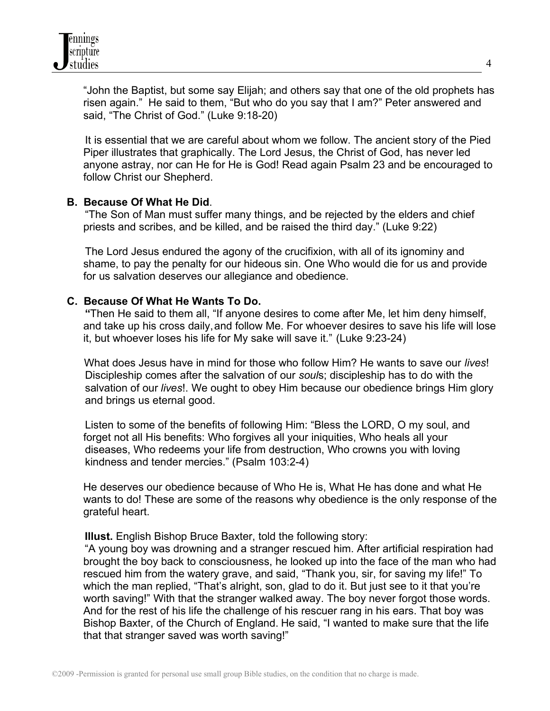"John the Baptist, but some say Elijah; and others say that one of the old prophets has risen again." He said to them, "But who do you say that I am?" Peter answered and said, "The Christ of God." (Luke 9:18-20)

 It is essential that we are careful about whom we follow. The ancient story of the Pied Piper illustrates that graphically. The Lord Jesus, the Christ of God, has never led anyone astray, nor can He for He is God! Read again Psalm 23 and be encouraged to follow Christ our Shepherd.

#### **B. Because Of What He Did**.

 "The Son of Man must suffer many things, and be rejected by the elders and chief priests and scribes, and be killed, and be raised the third day." (Luke 9:22)

 The Lord Jesus endured the agony of the crucifixion, with all of its ignominy and shame, to pay the penalty for our hideous sin. One Who would die for us and provide for us salvation deserves our allegiance and obedience.

#### **C. Because Of What He Wants To Do.**

 **"**Then He said to them all, "If anyone desires to come after Me, let him deny himself, and take up his cross daily,and follow Me. For whoever desires to save his life will lose it, but whoever loses his life for My sake will save it." (Luke 9:23-24)

What does Jesus have in mind for those who follow Him? He wants to save our *lives*! Discipleship comes after the salvation of our *soul*s; discipleship has to do with the salvation of our *lives*!. We ought to obey Him because our obedience brings Him glory and brings us eternal good.

 Listen to some of the benefits of following Him: "Bless the LORD, O my soul, and forget not all His benefits: Who forgives all your iniquities, Who heals all your diseases, Who redeems your life from destruction, Who crowns you with loving kindness and tender mercies." (Psalm 103:2-4)

He deserves our obedience because of Who He is, What He has done and what He wants to do! These are some of the reasons why obedience is the only response of the grateful heart.

**Illust.** English Bishop Bruce Baxter, told the following story:

"A young boy was drowning and a stranger rescued him. After artificial respiration had brought the boy back to consciousness, he looked up into the face of the man who had rescued him from the watery grave, and said, "Thank you, sir, for saving my life!" To which the man replied, "That's alright, son, glad to do it. But just see to it that you're worth saving!" With that the stranger walked away. The boy never forgot those words. And for the rest of his life the challenge of his rescuer rang in his ears. That boy was Bishop Baxter, of the Church of England. He said, "I wanted to make sure that the life that that stranger saved was worth saving!"